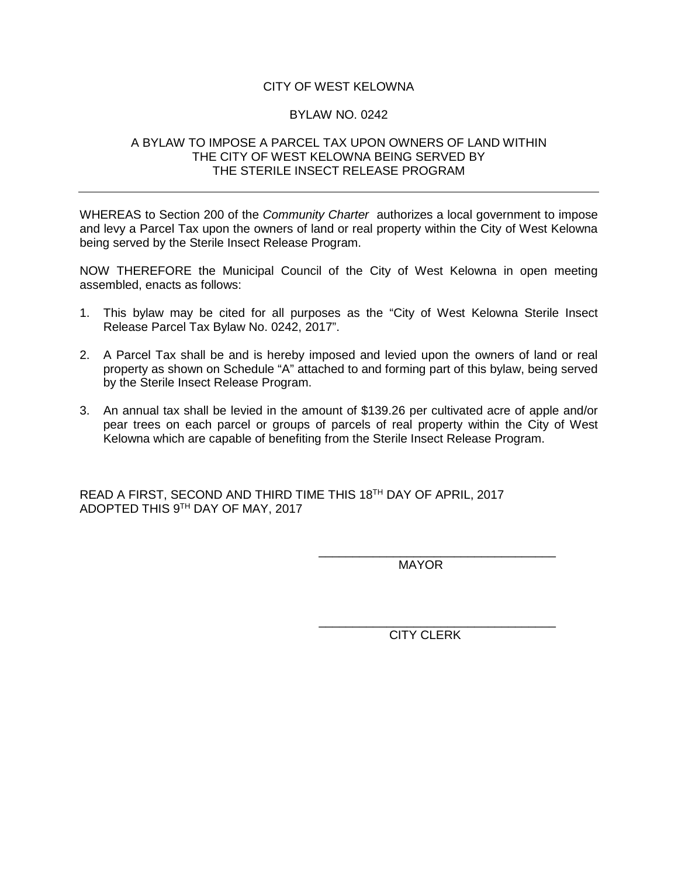## CITY OF WEST KELOWNA

## BYLAW NO. 0242

## A BYLAW TO IMPOSE A PARCEL TAX UPON OWNERS OF LAND WITHIN THE CITY OF WEST KELOWNA BEING SERVED BY THE STERILE INSECT RELEASE PROGRAM

WHEREAS to Section 200 of the *Community Charter* authorizes a local government to impose and levy a Parcel Tax upon the owners of land or real property within the City of West Kelowna being served by the Sterile Insect Release Program.

NOW THEREFORE the Municipal Council of the City of West Kelowna in open meeting assembled, enacts as follows:

- 1. This bylaw may be cited for all purposes as the "City of West Kelowna Sterile Insect Release Parcel Tax Bylaw No. 0242, 2017".
- 2. A Parcel Tax shall be and is hereby imposed and levied upon the owners of land or real property as shown on Schedule "A" attached to and forming part of this bylaw, being served by the Sterile Insect Release Program.
- 3. An annual tax shall be levied in the amount of \$139.26 per cultivated acre of apple and/or pear trees on each parcel or groups of parcels of real property within the City of West Kelowna which are capable of benefiting from the Sterile Insect Release Program.

READ A FIRST, SECOND AND THIRD TIME THIS 18TH DAY OF APRIL, 2017 ADOPTED THIS 9TH DAY OF MAY, 2017

> \_\_\_\_\_\_\_\_\_\_\_\_\_\_\_\_\_\_\_\_\_\_\_\_\_\_\_\_\_\_\_\_\_\_\_ MAYOR

> \_\_\_\_\_\_\_\_\_\_\_\_\_\_\_\_\_\_\_\_\_\_\_\_\_\_\_\_\_\_\_\_\_\_\_ CITY CLERK